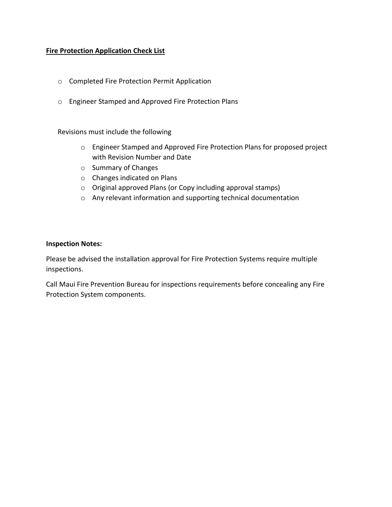## **Fire Protection Application Check List**

- o Completed Fire Protection Permit Application
- o Engineer Stamped and Approved Fire Protection Plans

## Revisions must include the following

- o Engineer Stamped and Approved Fire Protection Plans for proposed project with Revision Number and Date
- o Summary of Changes
- o Changes indicated on Plans
- o Original approved Plans (or Copy including approval stamps)
- o Any relevant information and supporting technical documentation

## **Inspection Notes:**

Please be advised the installation approval for Fire Protection Systems require multiple inspections.

Call Maui Fire Prevention Bureau for inspections requirements before concealing any Fire Protection System components.